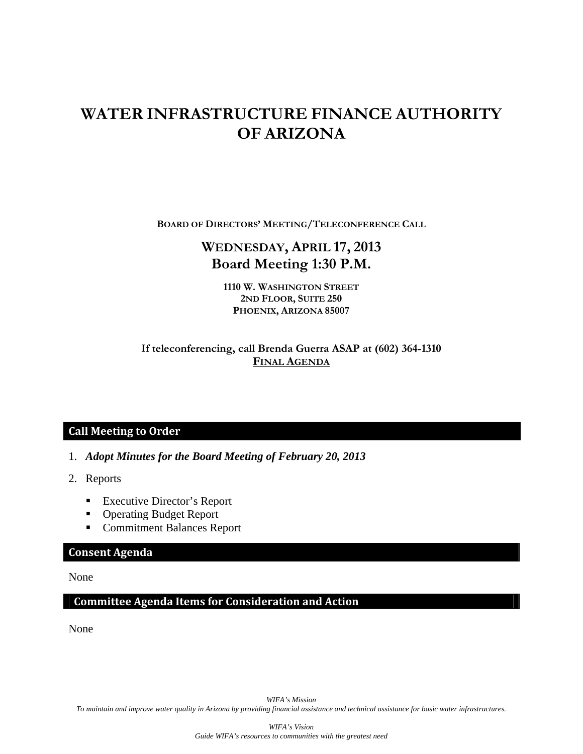# **WATER INFRASTRUCTURE FINANCE AUTHORITY OF ARIZONA**

**BOARD OF DIRECTORS' MEETING/TELECONFERENCE CALL**

# **WEDNESDAY, APRIL 17, 2013 Board Meeting 1:30 P.M.**

**1110 W. WASHINGTON STREET 2ND FLOOR, SUITE 250 PHOENIX, ARIZONA 85007** 

### **If teleconferencing, call Brenda Guerra ASAP at (602) 364-1310 FINAL AGENDA**

# **Call Meeting to Order**

- 1. *Adopt Minutes for the Board Meeting of February 20, 2013*
- 2. Reports
	- Executive Director's Report
	- **Operating Budget Report**
	- Commitment Balances Report

## **Consent Agenda**

None

### **Committee Agenda Items for Consideration and Action**

None

*WIFA's Mission To maintain and improve water quality in Arizona by providing financial assistance and technical assistance for basic water infrastructures.*